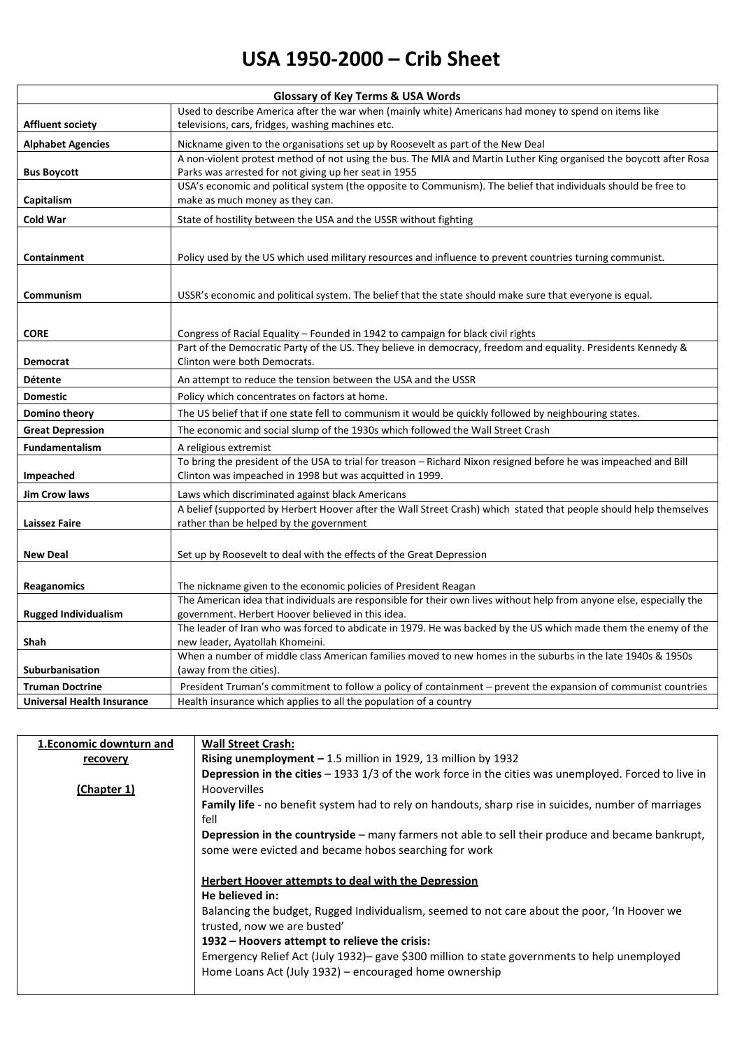## **USA 1950-2000 – Crib Sheet**

| <b>Glossary of Key Terms &amp; USA Words</b> |                                                                                                                                                    |  |
|----------------------------------------------|----------------------------------------------------------------------------------------------------------------------------------------------------|--|
|                                              | Used to describe America after the war when (mainly white) Americans had money to spend on items like                                              |  |
| <b>Affluent society</b>                      | televisions, cars, fridges, washing machines etc.                                                                                                  |  |
| <b>Alphabet Agencies</b>                     | Nickname given to the organisations set up by Roosevelt as part of the New Deal                                                                    |  |
|                                              | A non-violent protest method of not using the bus. The MIA and Martin Luther King organised the boycott after Rosa                                 |  |
| <b>Bus Boycott</b>                           | Parks was arrested for not giving up her seat in 1955                                                                                              |  |
|                                              | USA's economic and political system (the opposite to Communism). The belief that individuals should be free to                                     |  |
| Capitalism                                   | make as much money as they can.                                                                                                                    |  |
| <b>Cold War</b>                              | State of hostility between the USA and the USSR without fighting                                                                                   |  |
|                                              |                                                                                                                                                    |  |
| <b>Containment</b>                           | Policy used by the US which used military resources and influence to prevent countries turning communist.                                          |  |
|                                              |                                                                                                                                                    |  |
|                                              |                                                                                                                                                    |  |
| Communism                                    | USSR's economic and political system. The belief that the state should make sure that everyone is equal.                                           |  |
|                                              |                                                                                                                                                    |  |
| <b>CORE</b>                                  | Congress of Racial Equality – Founded in 1942 to campaign for black civil rights                                                                   |  |
|                                              | Part of the Democratic Party of the US. They believe in democracy, freedom and equality. Presidents Kennedy &                                      |  |
| Democrat                                     | Clinton were both Democrats.                                                                                                                       |  |
| <b>Détente</b>                               | An attempt to reduce the tension between the USA and the USSR                                                                                      |  |
| <b>Domestic</b>                              | Policy which concentrates on factors at home.                                                                                                      |  |
| Domino theory                                | The US belief that if one state fell to communism it would be quickly followed by neighbouring states.                                             |  |
| <b>Great Depression</b>                      | The economic and social slump of the 1930s which followed the Wall Street Crash                                                                    |  |
| <b>Fundamentalism</b>                        | A religious extremist                                                                                                                              |  |
|                                              | To bring the president of the USA to trial for treason - Richard Nixon resigned before he was impeached and Bill                                   |  |
| Impeached                                    | Clinton was impeached in 1998 but was acquitted in 1999.                                                                                           |  |
| <b>Jim Crow laws</b>                         | Laws which discriminated against black Americans                                                                                                   |  |
|                                              | A belief (supported by Herbert Hoover after the Wall Street Crash) which stated that people should help themselves                                 |  |
| <b>Laissez Faire</b>                         | rather than be helped by the government                                                                                                            |  |
|                                              |                                                                                                                                                    |  |
| <b>New Deal</b>                              | Set up by Roosevelt to deal with the effects of the Great Depression                                                                               |  |
|                                              |                                                                                                                                                    |  |
| <b>Reaganomics</b>                           | The nickname given to the economic policies of President Reagan                                                                                    |  |
|                                              | The American idea that individuals are responsible for their own lives without help from anyone else, especially the                               |  |
| <b>Rugged Individualism</b>                  | government. Herbert Hoover believed in this idea.                                                                                                  |  |
| Shah                                         | The leader of Iran who was forced to abdicate in 1979. He was backed by the US which made them the enemy of the<br>new leader, Ayatollah Khomeini. |  |
|                                              | When a number of middle class American families moved to new homes in the suburbs in the late 1940s & 1950s                                        |  |
| <b>Suburbanisation</b>                       | (away from the cities).                                                                                                                            |  |
| <b>Truman Doctrine</b>                       | President Truman's commitment to follow a policy of containment - prevent the expansion of communist countries                                     |  |
| <b>Universal Health Insurance</b>            | Health insurance which applies to all the population of a country                                                                                  |  |

| 1. Economic downturn and | <b>Wall Street Crash:</b>                                                                                                                             |
|--------------------------|-------------------------------------------------------------------------------------------------------------------------------------------------------|
| recovery                 | <b>Rising unemployment – 1.5 million in 1929, 13 million by 1932</b>                                                                                  |
|                          | Depression in the cities $-19331/3$ of the work force in the cities was unemployed. Forced to live in                                                 |
| (Chapter 1)              | <b>Hoovervilles</b>                                                                                                                                   |
|                          | Family life - no benefit system had to rely on handouts, sharp rise in suicides, number of marriages<br>fell                                          |
|                          | <b>Depression in the countryside</b> – many farmers not able to sell their produce and became bankrupt,                                               |
|                          | some were evicted and became hobos searching for work                                                                                                 |
|                          | Herbert Hoover attempts to deal with the Depression<br>He believed in:                                                                                |
|                          | Balancing the budget, Rugged Individualism, seemed to not care about the poor, 'In Hoover we<br>trusted, now we are busted'                           |
|                          | 1932 – Hoovers attempt to relieve the crisis:                                                                                                         |
|                          | Emergency Relief Act (July 1932)-gave \$300 million to state governments to help unemployed<br>Home Loans Act (July 1932) - encouraged home ownership |
|                          |                                                                                                                                                       |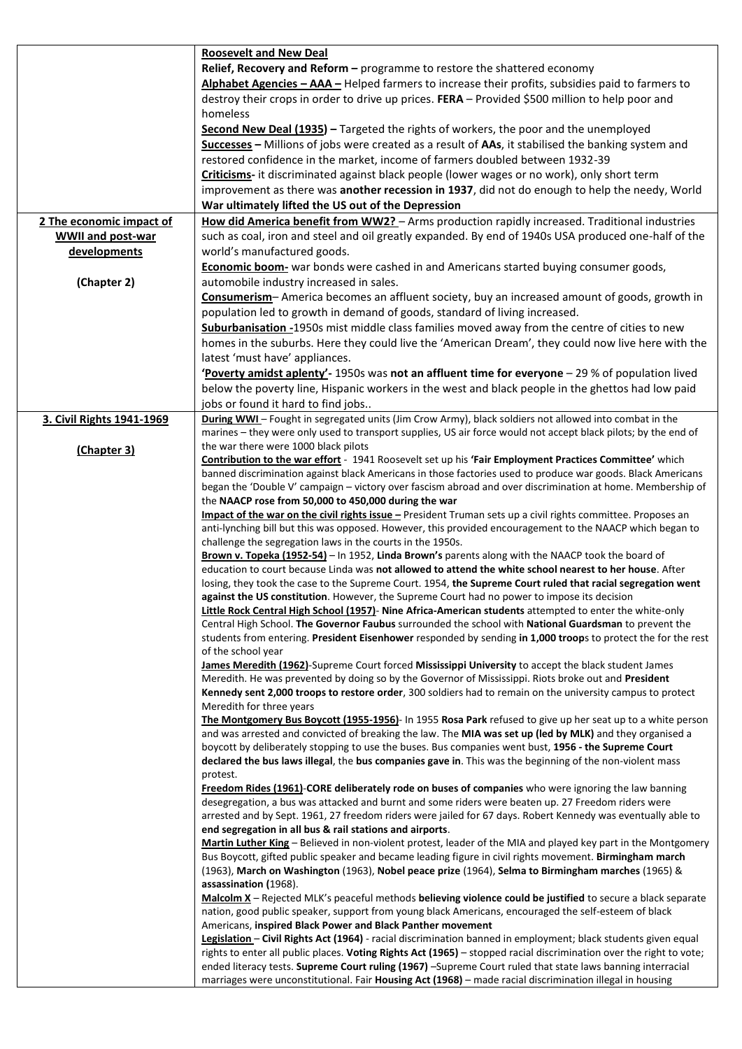|                           | <b>Roosevelt and New Deal</b>                                                                                                                                                                                          |
|---------------------------|------------------------------------------------------------------------------------------------------------------------------------------------------------------------------------------------------------------------|
|                           | Relief, Recovery and Reform - programme to restore the shattered economy                                                                                                                                               |
|                           | Alphabet Agencies - AAA - Helped farmers to increase their profits, subsidies paid to farmers to                                                                                                                       |
|                           | destroy their crops in order to drive up prices. FERA - Provided \$500 million to help poor and                                                                                                                        |
|                           | homeless                                                                                                                                                                                                               |
|                           | Second New Deal (1935) - Targeted the rights of workers, the poor and the unemployed                                                                                                                                   |
|                           | Successes - Millions of jobs were created as a result of AAs, it stabilised the banking system and                                                                                                                     |
|                           | restored confidence in the market, income of farmers doubled between 1932-39                                                                                                                                           |
|                           | Criticisms- it discriminated against black people (lower wages or no work), only short term                                                                                                                            |
|                           | improvement as there was another recession in 1937, did not do enough to help the needy, World                                                                                                                         |
|                           | War ultimately lifted the US out of the Depression                                                                                                                                                                     |
| 2 The economic impact of  | How did America benefit from WW2? - Arms production rapidly increased. Traditional industries                                                                                                                          |
| <b>WWII and post-war</b>  | such as coal, iron and steel and oil greatly expanded. By end of 1940s USA produced one-half of the                                                                                                                    |
| developments              | world's manufactured goods.                                                                                                                                                                                            |
|                           | Economic boom- war bonds were cashed in and Americans started buying consumer goods,                                                                                                                                   |
| (Chapter 2)               | automobile industry increased in sales.                                                                                                                                                                                |
|                           | Consumerism-America becomes an affluent society, buy an increased amount of goods, growth in                                                                                                                           |
|                           | population led to growth in demand of goods, standard of living increased.                                                                                                                                             |
|                           | Suburbanisation -1950s mist middle class families moved away from the centre of cities to new                                                                                                                          |
|                           | homes in the suburbs. Here they could live the 'American Dream', they could now live here with the                                                                                                                     |
|                           | latest 'must have' appliances.                                                                                                                                                                                         |
|                           | Poverty amidst aplenty'-1950s was not an affluent time for everyone - 29 % of population lived                                                                                                                         |
|                           | below the poverty line, Hispanic workers in the west and black people in the ghettos had low paid                                                                                                                      |
|                           | jobs or found it hard to find jobs                                                                                                                                                                                     |
| 3. Civil Rights 1941-1969 | During WWI-Fought in segregated units (Jim Crow Army), black soldiers not allowed into combat in the<br>marines - they were only used to transport supplies, US air force would not accept black pilots; by the end of |
|                           | the war there were 1000 black pilots                                                                                                                                                                                   |
| (Chapter 3)               | Contribution to the war effort - 1941 Roosevelt set up his 'Fair Employment Practices Committee' which                                                                                                                 |
|                           | banned discrimination against black Americans in those factories used to produce war goods. Black Americans                                                                                                            |
|                           | began the 'Double V' campaign - victory over fascism abroad and over discrimination at home. Membership of                                                                                                             |
|                           | the NAACP rose from 50,000 to 450,000 during the war                                                                                                                                                                   |
|                           | Impact of the war on the civil rights issue - President Truman sets up a civil rights committee. Proposes an                                                                                                           |
|                           | anti-lynching bill but this was opposed. However, this provided encouragement to the NAACP which began to<br>challenge the segregation laws in the courts in the 1950s.                                                |
|                           | Brown v. Topeka (1952-54) - In 1952, Linda Brown's parents along with the NAACP took the board of                                                                                                                      |
|                           | education to court because Linda was not allowed to attend the white school nearest to her house. After                                                                                                                |
|                           | losing, they took the case to the Supreme Court. 1954, the Supreme Court ruled that racial segregation went                                                                                                            |
|                           | against the US constitution. However, the Supreme Court had no power to impose its decision                                                                                                                            |
|                           | Little Rock Central High School (1957) - Nine Africa-American students attempted to enter the white-only                                                                                                               |
|                           | Central High School. The Governor Faubus surrounded the school with National Guardsman to prevent the                                                                                                                  |
|                           | students from entering. President Eisenhower responded by sending in 1,000 troops to protect the for the rest<br>of the school year                                                                                    |
|                           | James Meredith (1962)-Supreme Court forced Mississippi University to accept the black student James                                                                                                                    |
|                           | Meredith. He was prevented by doing so by the Governor of Mississippi. Riots broke out and President                                                                                                                   |
|                           | Kennedy sent 2,000 troops to restore order, 300 soldiers had to remain on the university campus to protect                                                                                                             |
|                           | Meredith for three years                                                                                                                                                                                               |
|                           | The Montgomery Bus Boycott (1955-1956) - In 1955 Rosa Park refused to give up her seat up to a white person                                                                                                            |
|                           | and was arrested and convicted of breaking the law. The MIA was set up (led by MLK) and they organised a<br>boycott by deliberately stopping to use the buses. Bus companies went bust, 1956 - the Supreme Court       |
|                           | declared the bus laws illegal, the bus companies gave in. This was the beginning of the non-violent mass                                                                                                               |
|                           | protest.                                                                                                                                                                                                               |
|                           | Freedom Rides (1961)-CORE deliberately rode on buses of companies who were ignoring the law banning                                                                                                                    |
|                           | desegregation, a bus was attacked and burnt and some riders were beaten up. 27 Freedom riders were                                                                                                                     |
|                           | arrested and by Sept. 1961, 27 freedom riders were jailed for 67 days. Robert Kennedy was eventually able to                                                                                                           |
|                           | end segregation in all bus & rail stations and airports.                                                                                                                                                               |
|                           | Martin Luther King - Believed in non-violent protest, leader of the MIA and played key part in the Montgomery                                                                                                          |
|                           | Bus Boycott, gifted public speaker and became leading figure in civil rights movement. Birmingham march<br>(1963), March on Washington (1963), Nobel peace prize (1964), Selma to Birmingham marches (1965) &          |
|                           | assassination (1968).                                                                                                                                                                                                  |
|                           | Malcolm X - Rejected MLK's peaceful methods believing violence could be justified to secure a black separate                                                                                                           |
|                           | nation, good public speaker, support from young black Americans, encouraged the self-esteem of black                                                                                                                   |
|                           | Americans, inspired Black Power and Black Panther movement                                                                                                                                                             |
|                           | Legislation - Civil Rights Act (1964) - racial discrimination banned in employment; black students given equal                                                                                                         |
|                           | rights to enter all public places. Voting Rights Act (1965) - stopped racial discrimination over the right to vote;                                                                                                    |
|                           | ended literacy tests. Supreme Court ruling (1967) -Supreme Court ruled that state laws banning interracial<br>marriages were unconstitutional. Fair Housing Act (1968) - made racial discrimination illegal in housing |
|                           |                                                                                                                                                                                                                        |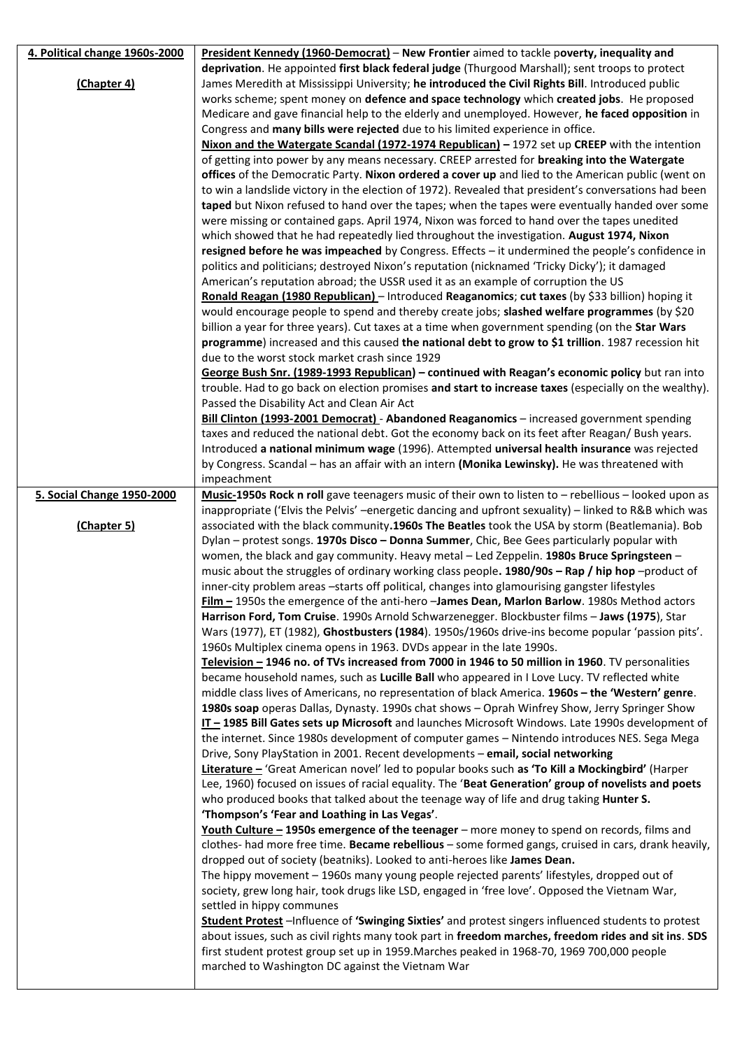| 4. Political change 1960s-2000 | President Kennedy (1960-Democrat) - New Frontier aimed to tackle poverty, inequality and                                                                                                                 |
|--------------------------------|----------------------------------------------------------------------------------------------------------------------------------------------------------------------------------------------------------|
|                                | deprivation. He appointed first black federal judge (Thurgood Marshall); sent troops to protect                                                                                                          |
| (Chapter 4)                    | James Meredith at Mississippi University; he introduced the Civil Rights Bill. Introduced public                                                                                                         |
|                                | works scheme; spent money on defence and space technology which created jobs. He proposed                                                                                                                |
|                                | Medicare and gave financial help to the elderly and unemployed. However, he faced opposition in                                                                                                          |
|                                | Congress and many bills were rejected due to his limited experience in office.                                                                                                                           |
|                                | Nixon and the Watergate Scandal (1972-1974 Republican) - 1972 set up CREEP with the intention                                                                                                            |
|                                | of getting into power by any means necessary. CREEP arrested for breaking into the Watergate                                                                                                             |
|                                | offices of the Democratic Party. Nixon ordered a cover up and lied to the American public (went on                                                                                                       |
|                                | to win a landslide victory in the election of 1972). Revealed that president's conversations had been<br>taped but Nixon refused to hand over the tapes; when the tapes were eventually handed over some |
|                                | were missing or contained gaps. April 1974, Nixon was forced to hand over the tapes unedited                                                                                                             |
|                                | which showed that he had repeatedly lied throughout the investigation. August 1974, Nixon                                                                                                                |
|                                | resigned before he was impeached by Congress. Effects - it undermined the people's confidence in                                                                                                         |
|                                | politics and politicians; destroyed Nixon's reputation (nicknamed 'Tricky Dicky'); it damaged                                                                                                            |
|                                | American's reputation abroad; the USSR used it as an example of corruption the US                                                                                                                        |
|                                | Ronald Reagan (1980 Republican) - Introduced Reaganomics; cut taxes (by \$33 billion) hoping it                                                                                                          |
|                                | would encourage people to spend and thereby create jobs; slashed welfare programmes (by \$20                                                                                                             |
|                                | billion a year for three years). Cut taxes at a time when government spending (on the Star Wars                                                                                                          |
|                                | programme) increased and this caused the national debt to grow to \$1 trillion. 1987 recession hit                                                                                                       |
|                                | due to the worst stock market crash since 1929                                                                                                                                                           |
|                                | George Bush Snr. (1989-1993 Republican) - continued with Reagan's economic policy but ran into                                                                                                           |
|                                | trouble. Had to go back on election promises and start to increase taxes (especially on the wealthy).                                                                                                    |
|                                | Passed the Disability Act and Clean Air Act                                                                                                                                                              |
|                                | Bill Clinton (1993-2001 Democrat) - Abandoned Reaganomics - increased government spending                                                                                                                |
|                                | taxes and reduced the national debt. Got the economy back on its feet after Reagan/ Bush years.                                                                                                          |
|                                | Introduced a national minimum wage (1996). Attempted universal health insurance was rejected                                                                                                             |
|                                | by Congress. Scandal - has an affair with an intern (Monika Lewinsky). He was threatened with                                                                                                            |
|                                | impeachment                                                                                                                                                                                              |
| 5. Social Change 1950-2000     | Music-1950s Rock n roll gave teenagers music of their own to listen to - rebellious - looked upon as                                                                                                     |
|                                | inappropriate ('Elvis the Pelvis' -energetic dancing and upfront sexuality) - linked to R&B which was                                                                                                    |
|                                |                                                                                                                                                                                                          |
| (Chapter 5)                    | associated with the black community.1960s The Beatles took the USA by storm (Beatlemania). Bob                                                                                                           |
|                                | Dylan - protest songs. 1970s Disco - Donna Summer, Chic, Bee Gees particularly popular with                                                                                                              |
|                                | women, the black and gay community. Heavy metal - Led Zeppelin. 1980s Bruce Springsteen -                                                                                                                |
|                                | music about the struggles of ordinary working class people. 1980/90s - Rap / hip hop -product of                                                                                                         |
|                                | inner-city problem areas -starts off political, changes into glamourising gangster lifestyles                                                                                                            |
|                                | <b>Film - 1950s the emergence of the anti-hero -James Dean, Marlon Barlow. 1980s Method actors</b>                                                                                                       |
|                                | Harrison Ford, Tom Cruise. 1990s Arnold Schwarzenegger. Blockbuster films - Jaws (1975), Star<br>Wars (1977), ET (1982), Ghostbusters (1984). 1950s/1960s drive-ins become popular 'passion pits'.       |
|                                | 1960s Multiplex cinema opens in 1963. DVDs appear in the late 1990s.                                                                                                                                     |
|                                | Television - 1946 no. of TVs increased from 7000 in 1946 to 50 million in 1960. TV personalities                                                                                                         |
|                                | became household names, such as Lucille Ball who appeared in I Love Lucy. TV reflected white                                                                                                             |
|                                | middle class lives of Americans, no representation of black America. 1960s - the 'Western' genre.                                                                                                        |
|                                | 1980s soap operas Dallas, Dynasty. 1990s chat shows - Oprah Winfrey Show, Jerry Springer Show                                                                                                            |
|                                | IT-1985 Bill Gates sets up Microsoft and launches Microsoft Windows. Late 1990s development of                                                                                                           |
|                                | the internet. Since 1980s development of computer games - Nintendo introduces NES. Sega Mega                                                                                                             |
|                                | Drive, Sony PlayStation in 2001. Recent developments - email, social networking                                                                                                                          |
|                                | Literature - 'Great American novel' led to popular books such as 'To Kill a Mockingbird' (Harper                                                                                                         |
|                                | Lee, 1960) focused on issues of racial equality. The 'Beat Generation' group of novelists and poets                                                                                                      |
|                                | who produced books that talked about the teenage way of life and drug taking Hunter S.                                                                                                                   |
|                                | 'Thompson's 'Fear and Loathing in Las Vegas'.                                                                                                                                                            |
|                                | Youth Culture - 1950s emergence of the teenager - more money to spend on records, films and                                                                                                              |
|                                | clothes- had more free time. Became rebellious - some formed gangs, cruised in cars, drank heavily,                                                                                                      |
|                                | dropped out of society (beatniks). Looked to anti-heroes like James Dean.                                                                                                                                |
|                                | The hippy movement - 1960s many young people rejected parents' lifestyles, dropped out of                                                                                                                |
|                                | society, grew long hair, took drugs like LSD, engaged in 'free love'. Opposed the Vietnam War,<br>settled in hippy communes                                                                              |
|                                | Student Protest -Influence of 'Swinging Sixties' and protest singers influenced students to protest                                                                                                      |
|                                | about issues, such as civil rights many took part in freedom marches, freedom rides and sit ins. SDS                                                                                                     |
|                                | first student protest group set up in 1959. Marches peaked in 1968-70, 1969 700,000 people                                                                                                               |
|                                | marched to Washington DC against the Vietnam War                                                                                                                                                         |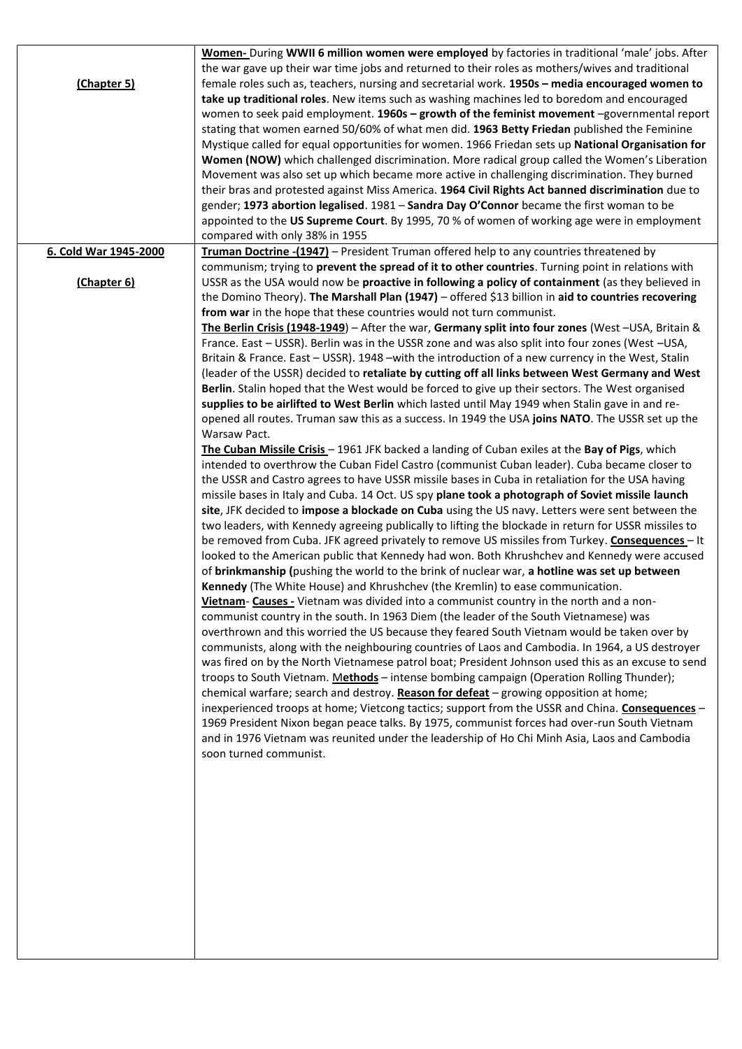| (Chapter 5)           | Women- During WWII 6 million women were employed by factories in traditional 'male' jobs. After<br>the war gave up their war time jobs and returned to their roles as mothers/wives and traditional<br>female roles such as, teachers, nursing and secretarial work. 1950s - media encouraged women to<br>take up traditional roles. New items such as washing machines led to boredom and encouraged<br>women to seek paid employment. 1960s - growth of the feminist movement -governmental report<br>stating that women earned 50/60% of what men did. 1963 Betty Friedan published the Feminine<br>Mystique called for equal opportunities for women. 1966 Friedan sets up National Organisation for<br>Women (NOW) which challenged discrimination. More radical group called the Women's Liberation<br>Movement was also set up which became more active in challenging discrimination. They burned<br>their bras and protested against Miss America. 1964 Civil Rights Act banned discrimination due to<br>gender; 1973 abortion legalised. 1981 - Sandra Day O'Connor became the first woman to be<br>appointed to the US Supreme Court. By 1995, 70 % of women of working age were in employment<br>compared with only 38% in 1955                                                                                                                                                                                                                                                                                                                                                                                                                                                                                                                                                                                                                                                                                                                                                                                                                                                                                                                                                                                                                                                                                                                                                                                                                                                                                                                                                                                                                                                                                                                                                                                                                                                                                                                                                                                                                                                                                                          |
|-----------------------|------------------------------------------------------------------------------------------------------------------------------------------------------------------------------------------------------------------------------------------------------------------------------------------------------------------------------------------------------------------------------------------------------------------------------------------------------------------------------------------------------------------------------------------------------------------------------------------------------------------------------------------------------------------------------------------------------------------------------------------------------------------------------------------------------------------------------------------------------------------------------------------------------------------------------------------------------------------------------------------------------------------------------------------------------------------------------------------------------------------------------------------------------------------------------------------------------------------------------------------------------------------------------------------------------------------------------------------------------------------------------------------------------------------------------------------------------------------------------------------------------------------------------------------------------------------------------------------------------------------------------------------------------------------------------------------------------------------------------------------------------------------------------------------------------------------------------------------------------------------------------------------------------------------------------------------------------------------------------------------------------------------------------------------------------------------------------------------------------------------------------------------------------------------------------------------------------------------------------------------------------------------------------------------------------------------------------------------------------------------------------------------------------------------------------------------------------------------------------------------------------------------------------------------------------------------------------------------------------------------------------------------------------------------------------------------------------------------------------------------------------------------------------------------------------------------------------------------------------------------------------------------------------------------------------------------------------------------------------------------------------------------------------------------------------------------------------------------------------------------------------------------------------|
| 6. Cold War 1945-2000 | Truman Doctrine -(1947) - President Truman offered help to any countries threatened by                                                                                                                                                                                                                                                                                                                                                                                                                                                                                                                                                                                                                                                                                                                                                                                                                                                                                                                                                                                                                                                                                                                                                                                                                                                                                                                                                                                                                                                                                                                                                                                                                                                                                                                                                                                                                                                                                                                                                                                                                                                                                                                                                                                                                                                                                                                                                                                                                                                                                                                                                                                                                                                                                                                                                                                                                                                                                                                                                                                                                                                               |
| (Chapter 6)           | communism; trying to prevent the spread of it to other countries. Turning point in relations with<br>USSR as the USA would now be proactive in following a policy of containment (as they believed in<br>the Domino Theory). The Marshall Plan (1947) - offered \$13 billion in aid to countries recovering<br>from war in the hope that these countries would not turn communist.<br>The Berlin Crisis (1948-1949) - After the war, Germany split into four zones (West -USA, Britain &<br>France. East - USSR). Berlin was in the USSR zone and was also split into four zones (West -USA,<br>Britain & France. East - USSR). 1948 -with the introduction of a new currency in the West, Stalin<br>(leader of the USSR) decided to retaliate by cutting off all links between West Germany and West<br>Berlin. Stalin hoped that the West would be forced to give up their sectors. The West organised<br>supplies to be airlifted to West Berlin which lasted until May 1949 when Stalin gave in and re-<br>opened all routes. Truman saw this as a success. In 1949 the USA joins NATO. The USSR set up the<br>Warsaw Pact.<br>The Cuban Missile Crisis - 1961 JFK backed a landing of Cuban exiles at the Bay of Pigs, which<br>intended to overthrow the Cuban Fidel Castro (communist Cuban leader). Cuba became closer to<br>the USSR and Castro agrees to have USSR missile bases in Cuba in retaliation for the USA having<br>missile bases in Italy and Cuba. 14 Oct. US spy plane took a photograph of Soviet missile launch<br>site, JFK decided to impose a blockade on Cuba using the US navy. Letters were sent between the<br>two leaders, with Kennedy agreeing publically to lifting the blockade in return for USSR missiles to<br>be removed from Cuba. JFK agreed privately to remove US missiles from Turkey. Consequences - It<br>looked to the American public that Kennedy had won. Both Khrushchev and Kennedy were accused<br>of brinkmanship (pushing the world to the brink of nuclear war, a hotline was set up between<br>Kennedy (The White House) and Khrushchev (the Kremlin) to ease communication.<br>Vietnam- Causes - Vietnam was divided into a communist country in the north and a non-<br>communist country in the south. In 1963 Diem (the leader of the South Vietnamese) was<br>overthrown and this worried the US because they feared South Vietnam would be taken over by<br>communists, along with the neighbouring countries of Laos and Cambodia. In 1964, a US destroyer<br>was fired on by the North Vietnamese patrol boat; President Johnson used this as an excuse to send<br>troops to South Vietnam. Methods - intense bombing campaign (Operation Rolling Thunder);<br>chemical warfare; search and destroy. Reason for defeat - growing opposition at home;<br>inexperienced troops at home; Vietcong tactics; support from the USSR and China. Consequences -<br>1969 President Nixon began peace talks. By 1975, communist forces had over-run South Vietnam<br>and in 1976 Vietnam was reunited under the leadership of Ho Chi Minh Asia, Laos and Cambodia<br>soon turned communist. |
|                       |                                                                                                                                                                                                                                                                                                                                                                                                                                                                                                                                                                                                                                                                                                                                                                                                                                                                                                                                                                                                                                                                                                                                                                                                                                                                                                                                                                                                                                                                                                                                                                                                                                                                                                                                                                                                                                                                                                                                                                                                                                                                                                                                                                                                                                                                                                                                                                                                                                                                                                                                                                                                                                                                                                                                                                                                                                                                                                                                                                                                                                                                                                                                                      |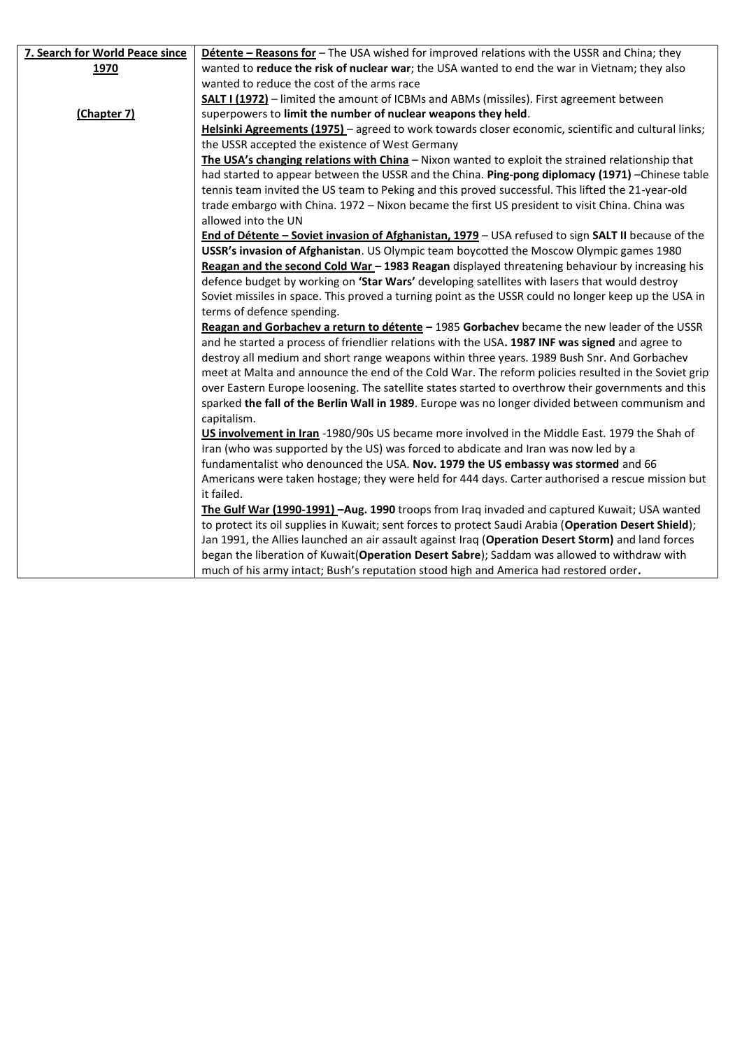| 7. Search for World Peace since | Détente - Reasons for - The USA wished for improved relations with the USSR and China; they           |
|---------------------------------|-------------------------------------------------------------------------------------------------------|
| 1970                            | wanted to reduce the risk of nuclear war; the USA wanted to end the war in Vietnam; they also         |
|                                 | wanted to reduce the cost of the arms race                                                            |
|                                 | <b>SALT I (1972)</b> - limited the amount of ICBMs and ABMs (missiles). First agreement between       |
| (Chapter 7)                     | superpowers to limit the number of nuclear weapons they held.                                         |
|                                 | Helsinki Agreements (1975) - agreed to work towards closer economic, scientific and cultural links;   |
|                                 | the USSR accepted the existence of West Germany                                                       |
|                                 | The USA's changing relations with China - Nixon wanted to exploit the strained relationship that      |
|                                 | had started to appear between the USSR and the China. Ping-pong diplomacy (1971) -Chinese table       |
|                                 | tennis team invited the US team to Peking and this proved successful. This lifted the 21-year-old     |
|                                 | trade embargo with China. 1972 - Nixon became the first US president to visit China. China was        |
|                                 | allowed into the UN                                                                                   |
|                                 | End of Détente - Soviet invasion of Afghanistan, 1979 - USA refused to sign SALT II because of the    |
|                                 | USSR's invasion of Afghanistan. US Olympic team boycotted the Moscow Olympic games 1980               |
|                                 | Reagan and the second Cold War - 1983 Reagan displayed threatening behaviour by increasing his        |
|                                 | defence budget by working on 'Star Wars' developing satellites with lasers that would destroy         |
|                                 | Soviet missiles in space. This proved a turning point as the USSR could no longer keep up the USA in  |
|                                 | terms of defence spending.                                                                            |
|                                 | Reagan and Gorbachev a return to détente - 1985 Gorbachev became the new leader of the USSR           |
|                                 | and he started a process of friendlier relations with the USA. 1987 INF was signed and agree to       |
|                                 | destroy all medium and short range weapons within three years. 1989 Bush Snr. And Gorbachev           |
|                                 | meet at Malta and announce the end of the Cold War. The reform policies resulted in the Soviet grip   |
|                                 | over Eastern Europe loosening. The satellite states started to overthrow their governments and this   |
|                                 | sparked the fall of the Berlin Wall in 1989. Europe was no longer divided between communism and       |
|                                 | capitalism.                                                                                           |
|                                 | US involvement in Iran -1980/90s US became more involved in the Middle East. 1979 the Shah of         |
|                                 | Iran (who was supported by the US) was forced to abdicate and Iran was now led by a                   |
|                                 | fundamentalist who denounced the USA. Nov. 1979 the US embassy was stormed and 66                     |
|                                 | Americans were taken hostage; they were held for 444 days. Carter authorised a rescue mission but     |
|                                 | it failed.                                                                                            |
|                                 | The Gulf War (1990-1991) - Aug. 1990 troops from Iraq invaded and captured Kuwait; USA wanted         |
|                                 | to protect its oil supplies in Kuwait; sent forces to protect Saudi Arabia (Operation Desert Shield); |
|                                 | Jan 1991, the Allies launched an air assault against Iraq (Operation Desert Storm) and land forces    |
|                                 | began the liberation of Kuwait(Operation Desert Sabre); Saddam was allowed to withdraw with           |
|                                 | much of his army intact; Bush's reputation stood high and America had restored order.                 |